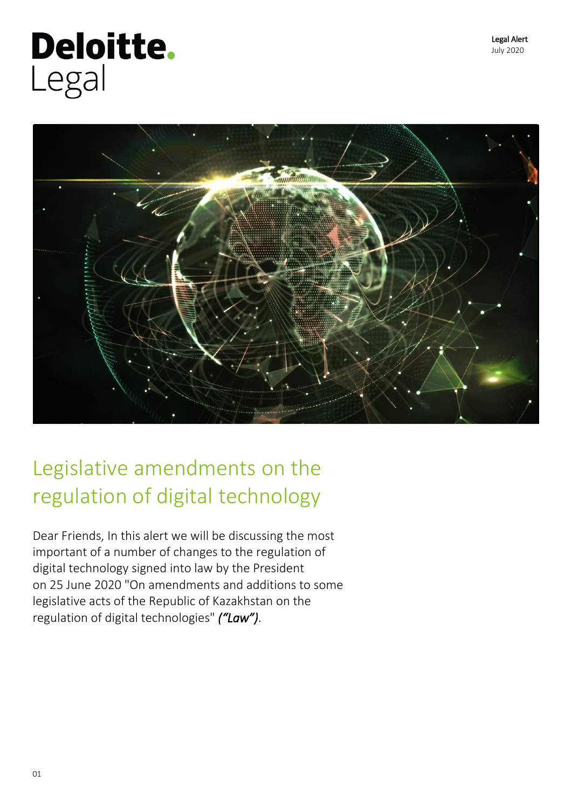# Deloitte. Legal



## Legislative amendments on the regulation of digital technology

Dear Friends, In this alert we will be discussing the most important of a number of changes to the regulation of digital technology signed into law by the President on 25 June 2020 "On amendments and additions to some legislative acts of the Republic of Kazakhstan on the regulation of digital technologies" *("Law")*.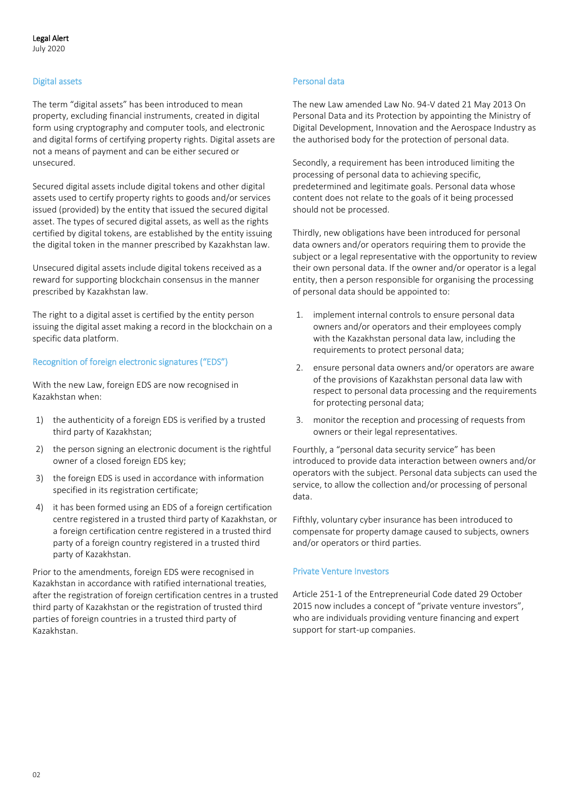#### Digital assets

The term "digital assets" has been introduced to mean property, excluding financial instruments, created in digital form using cryptography and computer tools, and electronic and digital forms of certifying property rights. Digital assets are not a means of payment and can be either secured or unsecured.

Secured digital assets include digital tokens and other digital assets used to certify property rights to goods and/or services issued (provided) by the entity that issued the secured digital asset. The types of secured digital assets, as well as the rights certified by digital tokens, are established by the entity issuing the digital token in the manner prescribed by Kazakhstan law.

Unsecured digital assets include digital tokens received as a reward for supporting blockchain consensus in the manner prescribed by Kazakhstan law.

The right to a digital asset is certified by the entity person issuing the digital asset making a record in the blockchain on a specific data platform.

#### Recognition of foreign electronic signatures ("EDS")

With the new Law, foreign EDS are now recognised in Kazakhstan when:

- 1) the authenticity of a foreign EDS is verified by a trusted third party of Kazakhstan;
- 2) the person signing an electronic document is the rightful owner of a closed foreign EDS key;
- 3) the foreign EDS is used in accordance with information specified in its registration certificate;
- 4) it has been formed using an EDS of a foreign certification centre registered in a trusted third party of Kazakhstan, or a foreign certification centre registered in a trusted third party of a foreign country registered in a trusted third party of Kazakhstan.

Prior to the amendments, foreign EDS were recognised in Kazakhstan in accordance with ratified international treaties, after the registration of foreign certification centres in a trusted third party of Kazakhstan or the registration of trusted third parties of foreign countries in a trusted third party of Kazakhstan.

#### Personal data

The new Law amended Law No. 94-V dated 21 May 2013 On Personal Data and its Protection by appointing the Ministry of Digital Development, Innovation and the Aerospace Industry as the authorised body for the protection of personal data.

Secondly, a requirement has been introduced limiting the processing of personal data to achieving specific, predetermined and legitimate goals. Personal data whose content does not relate to the goals of it being processed should not be processed.

Thirdly, new obligations have been introduced for personal data owners and/or operators requiring them to provide the subject or a legal representative with the opportunity to review their own personal data. If the owner and/or operator is a legal entity, then a person responsible for organising the processing of personal data should be appointed to:

- 1. implement internal controls to ensure personal data owners and/or operators and their employees comply with the Kazakhstan personal data law, including the requirements to protect personal data;
- 2. ensure personal data owners and/or operators are aware of the provisions of Kazakhstan personal data law with respect to personal data processing and the requirements for protecting personal data;
- 3. monitor the reception and processing of requests from owners or their legal representatives.

Fourthly, a "personal data security service" has been introduced to provide data interaction between owners and/or operators with the subject. Personal data subjects can used the service, to allow the collection and/or processing of personal data.

Fifthly, voluntary cyber insurance has been introduced to compensate for property damage caused to subjects, owners and/or operators or third parties.

#### Private Venture Investors

Article 251-1 of the Entrepreneurial Code dated 29 October 2015 now includes a concept of "private venture investors", who are individuals providing venture financing and expert support for start-up companies.